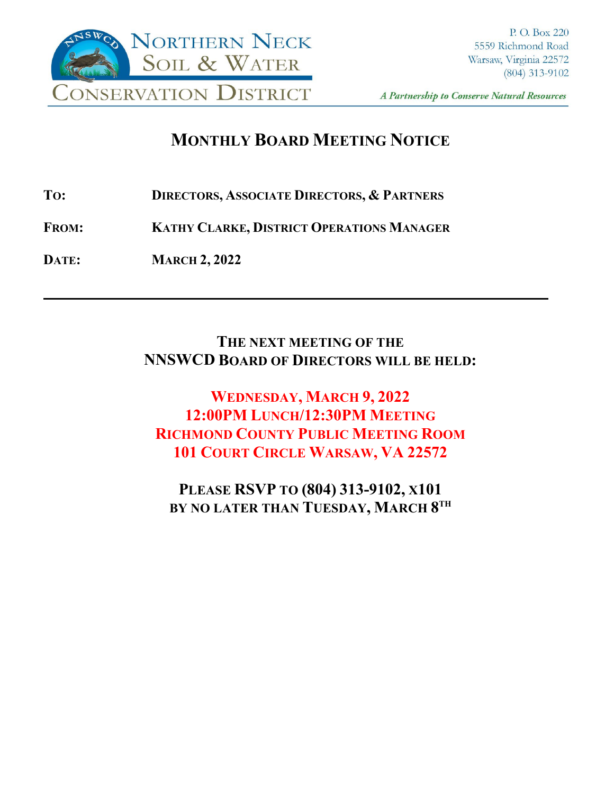

A Partnership to Conserve Natural Resources

**\_\_\_\_**

# **MONTHLY BOARD MEETING NOTICE**

**TO: DIRECTORS, ASSOCIATE DIRECTORS, & PARTNERS**

**FROM: KATHY CLARKE, DISTRICT OPERATIONS MANAGER**

**DATE: MARCH 2, 2022**

## **THE NEXT MEETING OF THE NNSWCD BOARD OF DIRECTORS WILL BE HELD:**

**WEDNESDAY, MARCH 9, 2022 12:00PM LUNCH/12:30PM MEETING RICHMOND COUNTY PUBLIC MEETING ROOM 101 COURT CIRCLE WARSAW, VA 22572**

**PLEASE RSVP TO (804) 313-9102, X101 BY NO LATER THAN TUESDAY, MARCH 8TH**